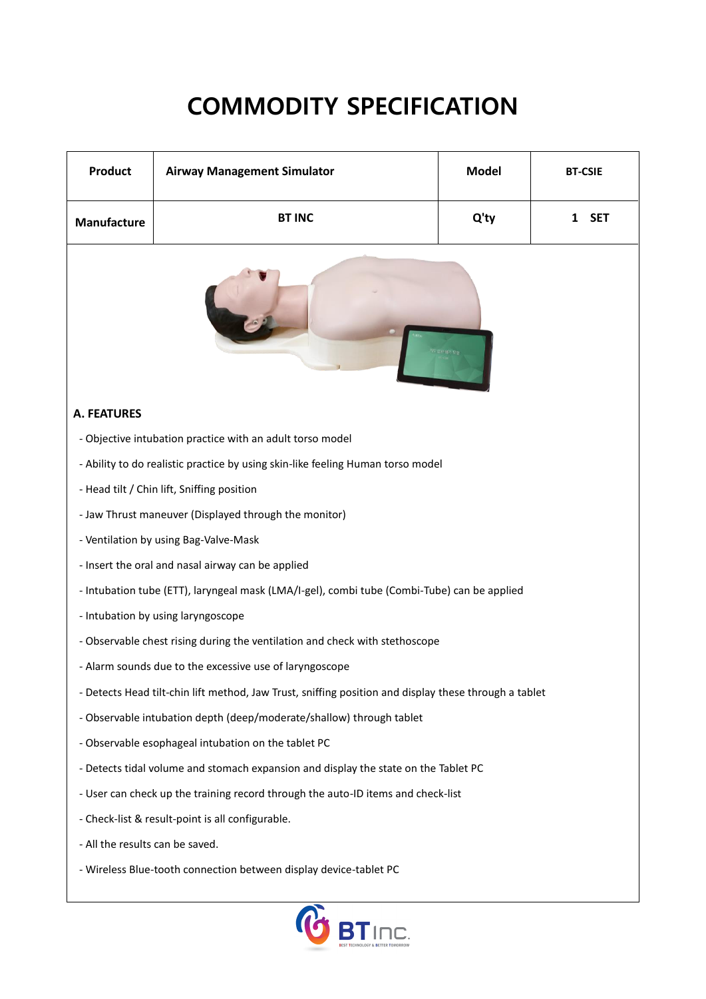### **COMMODITY SPECIFICATION**

| <b>Product</b>                                                                                        | <b>Airway Management Simulator</b> | <b>Model</b> | <b>BT-CSIE</b>  |
|-------------------------------------------------------------------------------------------------------|------------------------------------|--------------|-----------------|
| Manufacture                                                                                           | <b>BT INC</b>                      | Q'ty         | <b>SET</b><br>1 |
|                                                                                                       |                                    |              |                 |
| <b>A. FEATURES</b>                                                                                    |                                    |              |                 |
| - Objective intubation practice with an adult torso model                                             |                                    |              |                 |
| - Ability to do realistic practice by using skin-like feeling Human torso model                       |                                    |              |                 |
| - Head tilt / Chin lift, Sniffing position                                                            |                                    |              |                 |
| - Jaw Thrust maneuver (Displayed through the monitor)                                                 |                                    |              |                 |
| - Ventilation by using Bag-Valve-Mask                                                                 |                                    |              |                 |
| - Insert the oral and nasal airway can be applied                                                     |                                    |              |                 |
| - Intubation tube (ETT), laryngeal mask (LMA/I-gel), combi tube (Combi-Tube) can be applied           |                                    |              |                 |
| - Intubation by using laryngoscope                                                                    |                                    |              |                 |
| - Observable chest rising during the ventilation and check with stethoscope                           |                                    |              |                 |
| - Alarm sounds due to the excessive use of laryngoscope                                               |                                    |              |                 |
| - Detects Head tilt-chin lift method, Jaw Trust, sniffing position and display these through a tablet |                                    |              |                 |
| - Observable intubation depth (deep/moderate/shallow) through tablet                                  |                                    |              |                 |
| - Observable esophageal intubation on the tablet PC                                                   |                                    |              |                 |
| - Detects tidal volume and stomach expansion and display the state on the Tablet PC                   |                                    |              |                 |
| - User can check up the training record through the auto-ID items and check-list                      |                                    |              |                 |
| - Check-list & result-point is all configurable.                                                      |                                    |              |                 |
| - All the results can be saved.                                                                       |                                    |              |                 |
| - Wireless Blue-tooth connection between display device-tablet PC                                     |                                    |              |                 |
|                                                                                                       |                                    |              |                 |

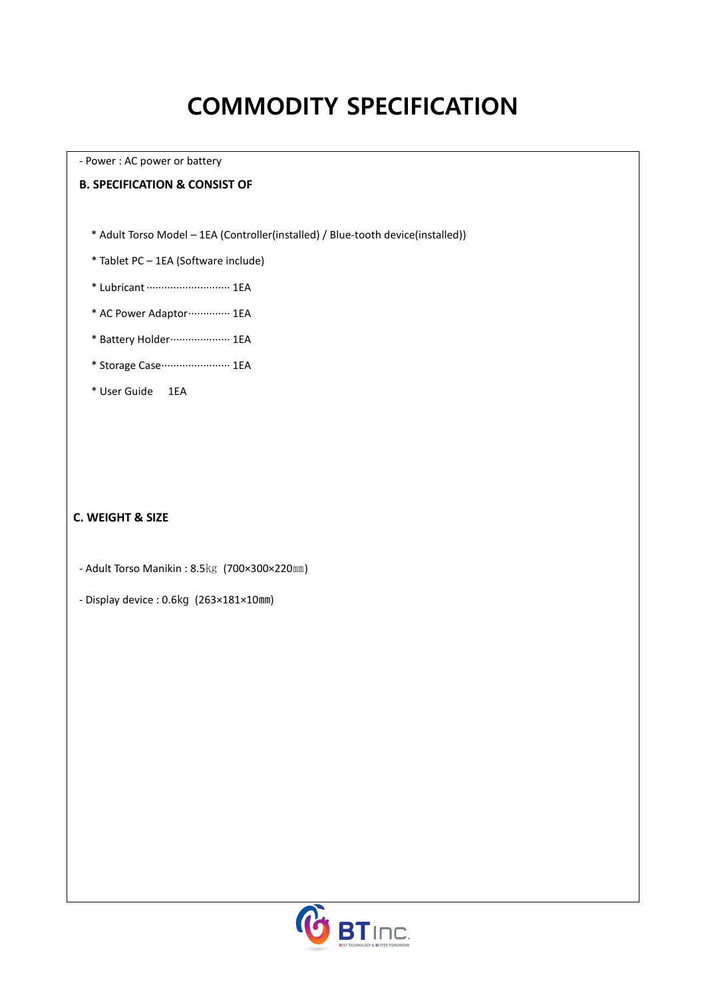# **COMMODITY SPECIFICATION**

- Power : AC power or battery

#### **B. SPECIFICATION & CONSIST OF**

\* Adult Torso Model – 1EA (Controller(installed) / Blue-tooth device(installed))

- \* Tablet PC 1EA (Software include)
- \* Lubricant ····························1EA
- \* AC Power Adaptor ················ 1EA
- \* Battery Holder····················1EA
- \* Storage Case·······················1EA
- \* User Guide 1EA

### **C. WEIGHT & SIZE**

- Adult Torso Manikin : 8.5㎏ (700×300×220㎜)
- Display device : 0.6㎏ (263×181×10㎜)